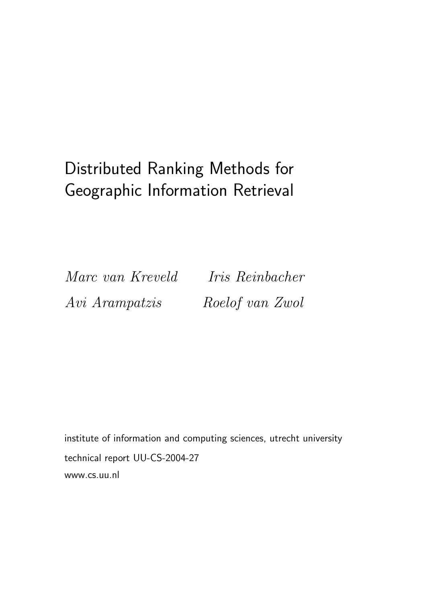# Distributed Ranking Methods for Geographic Information Retrieval

Marc van Kreveld Iris Reinbacher Avi Arampatzis Roelof van Zwol

institute of information and computing sciences, utrecht university technical report UU-CS-2004-27 www.cs.uu.nl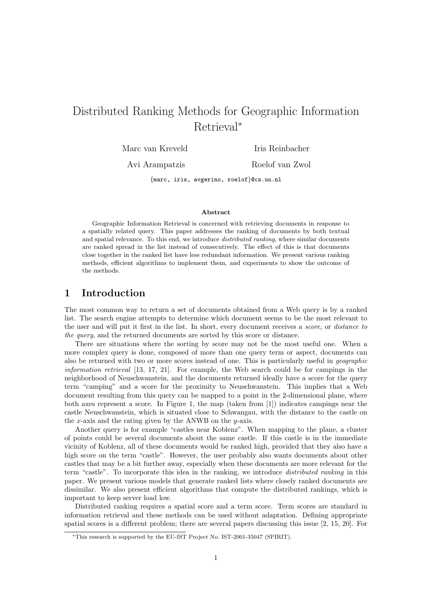## Distributed Ranking Methods for Geographic Information Retrieval<sup>∗</sup>

Marc van Kreveld Iris Reinbacher

Avi Arampatzis Roelof van Zwol

{marc, iris, avgerino, roelof}@cs.uu.nl

#### **Abstract**

Geographic Information Retrieval is concerned with retrieving documents in response to a spatially related query. This paper addresses the ranking of documents by both textual and spatial relevance. To this end, we introduce *distributed ranking*, where similar documents are ranked spread in the list instead of consecutively. The effect of this is that documents close together in the ranked list have less redundant information. We present various ranking methods, efficient algorithms to implement them, and experiments to show the outcome of the methods.

## **1 Introduction**

The most common way to return a set of documents obtained from a Web query is by a ranked list. The search engine attempts to determine which document seems to be the most relevant to the user and will put it first in the list. In short, every document receives a *score*, or *distance to the query*, and the returned documents are sorted by this score or distance.

There are situations where the sorting by score may not be the most useful one. When a more complex query is done, composed of more than one query term or aspect, documents can also be returned with two or more scores instead of one. This is particularly useful in *geographic information retrieval* [13, 17, 21]. For example, the Web search could be for campings in the neighborhood of Neuschwanstein, and the documents returned ideally have a score for the query term "camping" and a score for the proximity to Neuschwanstein. This implies that a Web document resulting from this query can be mapped to a point in the 2-dimensional plane, where both axes represent a score. In Figure 1, the map (taken from [1]) indicates campings near the castle Neuschwanstein, which is situated close to Schwangau, with the distance to the castle on the x-axis and the rating given by the ANWB on the y-axis.

Another query is for example "castles near Koblenz". When mapping to the plane, a cluster of points could be several documents about the same castle. If this castle is in the immediate vicinity of Koblenz, all of these documents would be ranked high, provided that they also have a high score on the term "castle". However, the user probably also wants documents about other castles that may be a bit further away, especially when these documents are more relevant for the term "castle". To incorporate this idea in the ranking, we introduce *distributed ranking* in this paper. We present various models that generate ranked lists where closely ranked documents are dissimilar. We also present efficient algorithms that compute the distributed rankings, which is important to keep server load low.

Distributed ranking requires a spatial score and a term score. Term scores are standard in information retrieval and these methods can be used without adaptation. Defining appropriate spatial scores is a different problem; there are several papers discussing this issue [2, 15, 20]. For

<sup>∗</sup>This research is supported by the EU-IST Project No. IST-2001-35047 (SPIRIT).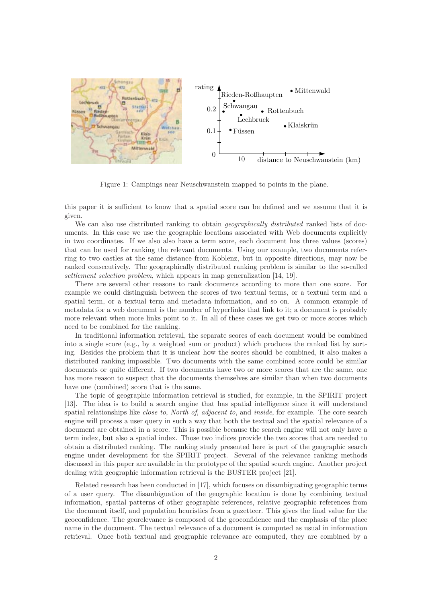

Figure 1: Campings near Neuschwanstein mapped to points in the plane.

this paper it is sufficient to know that a spatial score can be defined and we assume that it is given.

We can also use distributed ranking to obtain *geographically distributed* ranked lists of documents. In this case we use the geographic locations associated with Web documents explicitly in two coordinates. If we also also have a term score, each document has three values (scores) that can be used for ranking the relevant documents. Using our example, two documents referring to two castles at the same distance from Koblenz, but in opposite directions, may now be ranked consecutively. The geographically distributed ranking problem is similar to the so-called *settlement selection problem*, which appears in map generalization [14, 19].

There are several other reasons to rank documents according to more than one score. For example we could distinguish between the scores of two textual terms, or a textual term and a spatial term, or a textual term and metadata information, and so on. A common example of metadata for a web document is the number of hyperlinks that link to it; a document is probably more relevant when more links point to it. In all of these cases we get two or more scores which need to be combined for the ranking.

In traditional information retrieval, the separate scores of each document would be combined into a single score (e.g., by a weighted sum or product) which produces the ranked list by sorting. Besides the problem that it is unclear how the scores should be combined, it also makes a distributed ranking impossible. Two documents with the same combined score could be similar documents or quite different. If two documents have two or more scores that are the same, one has more reason to suspect that the documents themselves are similar than when two documents have one (combined) score that is the same.

The topic of geographic information retrieval is studied, for example, in the SPIRIT project [13]. The idea is to build a search engine that has spatial intelligence since it will understand spatial relationships like *close to*, *North of*, *adjacent to*, and *inside*, for example. The core search engine will process a user query in such a way that both the textual and the spatial relevance of a document are obtained in a score. This is possible because the search engine will not only have a term index, but also a spatial index. Those two indices provide the two scores that are needed to obtain a distributed ranking. The ranking study presented here is part of the geographic search engine under development for the SPIRIT project. Several of the relevance ranking methods discussed in this paper are available in the prototype of the spatial search engine. Another project dealing with geographic information retrieval is the BUSTER project [21].

Related research has been conducted in [17], which focuses on disambiguating geographic terms of a user query. The disambiguation of the geographic location is done by combining textual information, spatial patterns of other geographic references, relative geographic references from the document itself, and population heuristics from a gazetteer. This gives the final value for the geoconfidence. The georelevance is composed of the geoconfidence and the emphasis of the place name in the document. The textual relevance of a document is computed as usual in information retrieval. Once both textual and geographic relevance are computed, they are combined by a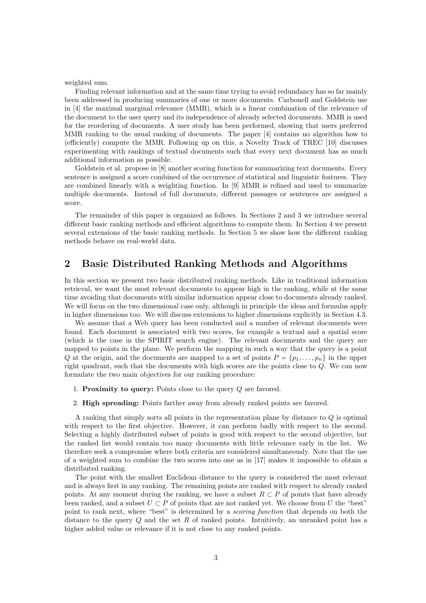weighted sum.

Finding relevant information and at the same time trying to avoid redundancy has so far mainly been addressed in producing summaries of one or more documents. Carbonell and Goldstein use in [4] the maximal marginal relevance (MMR), which is a linear combination of the relevance of the document to the user query and its independence of already selected documents. MMR is used for the reordering of documents. A user study has been performed, showing that users preferred MMR ranking to the usual ranking of documents. The paper [4] contains no algorithm how to (efficiently) compute the MMR. Following up on this, a Novelty Track of TREC [10] discusses experimenting with rankings of textual documents such that every next document has as much additional information as possible.

Goldstein et al. propose in [8] another scoring function for summarizing text documents. Every sentence is assigned a score combined of the occurrence of statistical and linguistic features. They are combined linearly with a weighting function. In [9] MMR is refined and used to summarize multiple documents. Instead of full documents, different passages or sentences are assigned a score.

The remainder of this paper is organized as follows. In Sections 2 and 3 we introduce several different basic ranking methods and efficient algorithms to compute them. In Section 4 we present several extensions of the basic ranking methods. In Section 5 we show how the different ranking methods behave on real-world data.

## **2 Basic Distributed Ranking Methods and Algorithms**

In this section we present two basic distributed ranking methods. Like in traditional information retrieval, we want the most relevant documents to appear high in the ranking, while at the same time avoiding that documents with similar information appear close to documents already ranked. We will focus on the two dimensional case only, although in principle the ideas and formulas apply in higher dimensions too. We will discuss extensions to higher dimensions explicitly in Section 4.3.

We assume that a Web query has been conducted and a number of relevant documents were found. Each document is associated with two scores, for example a textual and a spatial score (which is the case in the SPIRIT search engine). The relevant documents and the query are mapped to points in the plane. We perform the mapping in such a way that the query is a point Q at the origin, and the documents are mapped to a set of points  $P = \{p_1, \ldots, p_n\}$  in the upper right quadrant, such that the documents with high scores are the points close to  $Q$ . We can now formulate the two main objectives for our ranking procedure:

- 1. **Proximity to query:** Points close to the query Q are favored.
- 2. **High spreading:** Points farther away from already ranked points are favored.

A ranking that simply sorts all points in the representation plane by distance to Q is optimal with respect to the first objective. However, it can perform badly with respect to the second. Selecting a highly distributed subset of points is good with respect to the second objective, but the ranked list would contain too many documents with little relevance early in the list. We therefore seek a compromise where both criteria are considered simultaneously. Note that the use of a weighted sum to combine the two scores into one as in [17] makes it impossible to obtain a distributed ranking.

The point with the smallest Euclidean distance to the query is considered the most relevant and is always first in any ranking. The remaining points are ranked with respect to already ranked points. At any moment during the ranking, we have a subset  $R \subset P$  of points that have already been ranked, and a subset  $U \subset P$  of points that are not ranked yet. We choose from U the "best" point to rank next, where "best" is determined by a *scoring function* that depends on both the distance to the query  $Q$  and the set  $R$  of ranked points. Intuitively, an unranked point has a higher added value or relevance if it is not close to any ranked points.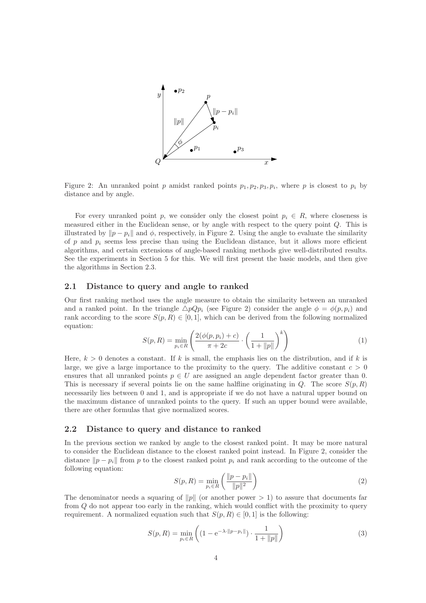

Figure 2: An unranked point p amidst ranked points  $p_1, p_2, p_3, p_i$ , where p is closest to  $p_i$  by distance and by angle.

For every unranked point p, we consider only the closest point  $p_i \in R$ , where closeness is measured either in the Euclidean sense, or by angle with respect to the query point Q. This is illustrated by  $\|p - p_i\|$  and  $\phi$ , respectively, in Figure 2. Using the angle to evaluate the similarity of p and  $p_i$  seems less precise than using the Euclidean distance, but it allows more efficient algorithms, and certain extensions of angle-based ranking methods give well-distributed results. See the experiments in Section 5 for this. We will first present the basic models, and then give the algorithms in Section 2.3.

#### **2.1 Distance to query and angle to ranked**

Our first ranking method uses the angle measure to obtain the similarity between an unranked and a ranked point. In the triangle  $\triangle pQp_i$  (see Figure 2) consider the angle  $\phi = \phi(p, p_i)$  and rank according to the score  $S(p, R) \in [0, 1]$ , which can be derived from the following normalized equation:

$$
S(p,R) = \min_{p_i \in R} \left( \frac{2(\phi(p,p_i) + c)}{\pi + 2c} \cdot \left( \frac{1}{1 + ||p||} \right)^k \right) \tag{1}
$$

Here,  $k > 0$  denotes a constant. If k is small, the emphasis lies on the distribution, and if k is large, we give a large importance to the proximity to the query. The additive constant  $c > 0$ ensures that all unranked points  $p \in U$  are assigned an angle dependent factor greater than 0. This is necessary if several points lie on the same halfline originating in  $Q$ . The score  $S(p, R)$ necessarily lies between 0 and 1, and is appropriate if we do not have a natural upper bound on the maximum distance of unranked points to the query. If such an upper bound were available, there are other formulas that give normalized scores.

#### **2.2 Distance to query and distance to ranked**

In the previous section we ranked by angle to the closest ranked point. It may be more natural to consider the Euclidean distance to the closest ranked point instead. In Figure 2, consider the distance  $\|p - p_i\|$  from p to the closest ranked point  $p_i$  and rank according to the outcome of the following equation:

$$
S(p,R) = \min_{p_i \in R} \left( \frac{\|p - p_i\|}{\|p\|^2} \right) \tag{2}
$$

The denominator needs a squaring of  $||p||$  (or another power  $> 1$ ) to assure that documents far from Q do not appear too early in the ranking, which would conflict with the proximity to query requirement. A normalized equation such that  $S(p, R) \in [0, 1]$  is the following:

$$
S(p, R) = \min_{p_i \in R} \left( (1 - e^{-\lambda \cdot ||p - p_i||}) \cdot \frac{1}{1 + ||p||} \right) \tag{3}
$$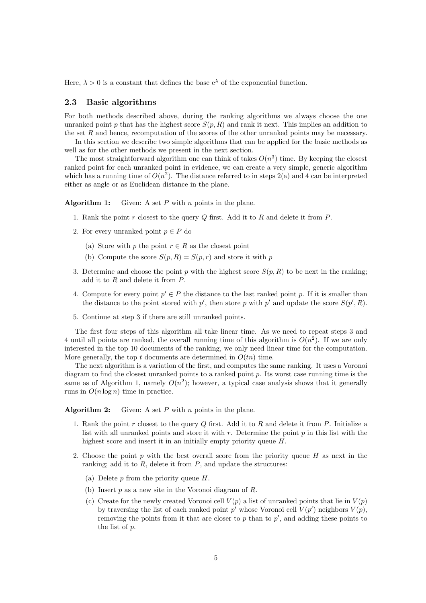Here,  $\lambda > 0$  is a constant that defines the base  $e^{\lambda}$  of the exponential function.

#### **2.3 Basic algorithms**

For both methods described above, during the ranking algorithms we always choose the one unranked point p that has the highest score  $S(p, R)$  and rank it next. This implies an addition to the set R and hence, recomputation of the scores of the other unranked points may be necessary.

In this section we describe two simple algorithms that can be applied for the basic methods as well as for the other methods we present in the next section.

The most straightforward algorithm one can think of takes  $O(n^3)$  time. By keeping the closest ranked point for each unranked point in evidence, we can create a very simple, generic algorithm which has a running time of  $O(n^2)$ . The distance referred to in steps 2(a) and 4 can be interpreted either as angle or as Euclidean distance in the plane.

**Algorithm 1:** Given: A set P with n points in the plane.

- 1. Rank the point  $r$  closest to the query  $Q$  first. Add it to  $R$  and delete it from  $P$ .
- 2. For every unranked point  $p \in P$  do
	- (a) Store with p the point  $r \in R$  as the closest point
	- (b) Compute the score  $S(p, R) = S(p, r)$  and store it with p
- 3. Determine and choose the point p with the highest score  $S(p, R)$  to be next in the ranking; add it to R and delete it from P.
- 4. Compute for every point  $p' \in P$  the distance to the last ranked point p. If it is smaller than the distance to the point stored with  $p'$ , then store p with p' and update the score  $S(p', R)$ .
- 5. Continue at step 3 if there are still unranked points.

The first four steps of this algorithm all take linear time. As we need to repeat steps 3 and 4 until all points are ranked, the overall running time of this algorithm is  $O(n^2)$ . If we are only interested in the top 10 documents of the ranking, we only need linear time for the computation. More generally, the top t documents are determined in  $O(tn)$  time.

The next algorithm is a variation of the first, and computes the same ranking. It uses a Voronoi diagram to find the closest unranked points to a ranked point  $p$ . Its worst case running time is the same as of Algorithm 1, namely  $O(n^2)$ ; however, a typical case analysis shows that it generally runs in  $O(n \log n)$  time in practice.

**Algorithm 2:** Given: A set P with n points in the plane.

- 1. Rank the point  $r$  closest to the query  $Q$  first. Add it to  $R$  and delete it from  $P$ . Initialize a list with all unranked points and store it with  $r$ . Determine the point  $p$  in this list with the highest score and insert it in an initially empty priority queue H.
- 2. Choose the point  $p$  with the best overall score from the priority queue  $H$  as next in the ranking; add it to  $R$ , delete it from  $P$ , and update the structures:
	- (a) Delete  $p$  from the priority queue  $H$ .
	- (b) Insert  $p$  as a new site in the Voronoi diagram of  $R$ .
	- (c) Create for the newly created Voronoi cell  $V(p)$  a list of unranked points that lie in  $V(p)$ by traversing the list of each ranked point  $p'$  whose Voronoi cell  $V(p')$  neighbors  $V(p)$ , removing the points from it that are closer to  $p$  than to  $p'$ , and adding these points to the list of p.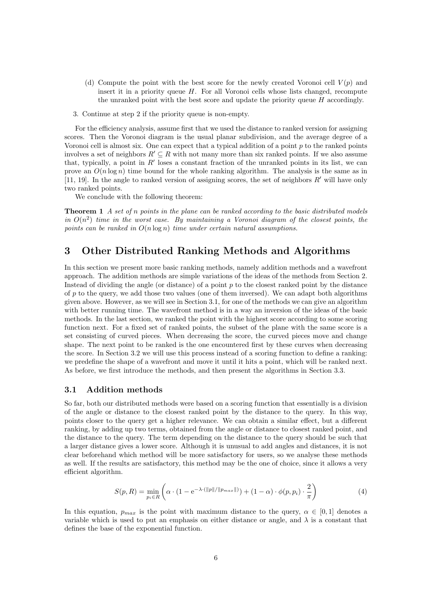- (d) Compute the point with the best score for the newly created Voronoi cell  $V(p)$  and insert it in a priority queue  $H$ . For all Voronoi cells whose lists changed, recompute the unranked point with the best score and update the priority queue H accordingly.
- 3. Continue at step 2 if the priority queue is non-empty.

For the efficiency analysis, assume first that we used the distance to ranked version for assigning scores. Then the Voronoi diagram is the usual planar subdivision, and the average degree of a Voronoi cell is almost six. One can expect that a typical addition of a point  $p$  to the ranked points involves a set of neighbors  $R' \subseteq R$  with not many more than six ranked points. If we also assume that, typically, a point in  $R'$  loses a constant fraction of the unranked points in its list, we can prove an  $O(n \log n)$  time bound for the whole ranking algorithm. The analysis is the same as in [11, 19]. In the angle to ranked version of assigning scores, the set of neighbors  $R'$  will have only two ranked points.

We conclude with the following theorem:

**Theorem 1** *A set of* n *points in the plane can be ranked according to the basic distributed models in*  $O(n^2)$  *time in the worst case. By maintaining a Voronoi diagram of the closest points, the points can be ranked in* O(n log n) *time under certain natural assumptions.*

## **3 Other Distributed Ranking Methods and Algorithms**

In this section we present more basic ranking methods, namely addition methods and a wavefront approach. The addition methods are simple variations of the ideas of the methods from Section 2. Instead of dividing the angle (or distance) of a point  $p$  to the closest ranked point by the distance of  $p$  to the query, we add those two values (one of them inversed). We can adapt both algorithms given above. However, as we will see in Section 3.1, for one of the methods we can give an algorithm with better running time. The wavefront method is in a way an inversion of the ideas of the basic methods. In the last section, we ranked the point with the highest score according to some scoring function next. For a fixed set of ranked points, the subset of the plane with the same score is a set consisting of curved pieces. When decreasing the score, the curved pieces move and change shape. The next point to be ranked is the one encountered first by these curves when decreasing the score. In Section 3.2 we will use this process instead of a scoring function to define a ranking: we predefine the shape of a wavefront and move it until it hits a point, which will be ranked next. As before, we first introduce the methods, and then present the algorithms in Section 3.3.

#### **3.1 Addition methods**

So far, both our distributed methods were based on a scoring function that essentially is a division of the angle or distance to the closest ranked point by the distance to the query. In this way, points closer to the query get a higher relevance. We can obtain a similar effect, but a different ranking, by adding up two terms, obtained from the angle or distance to closest ranked point, and the distance to the query. The term depending on the distance to the query should be such that a larger distance gives a lower score. Although it is unusual to add angles and distances, it is not clear beforehand which method will be more satisfactory for users, so we analyse these methods as well. If the results are satisfactory, this method may be the one of choice, since it allows a very efficient algorithm.

$$
S(p,R) = \min_{p_i \in R} \left( \alpha \cdot (1 - e^{-\lambda \cdot (\|p\| / \|p_{max}\|)}) + (1 - \alpha) \cdot \phi(p, p_i) \cdot \frac{2}{\pi} \right)
$$
(4)

In this equation,  $p_{max}$  is the point with maximum distance to the query,  $\alpha \in [0,1]$  denotes a variable which is used to put an emphasis on either distance or angle, and  $\lambda$  is a constant that defines the base of the exponential function.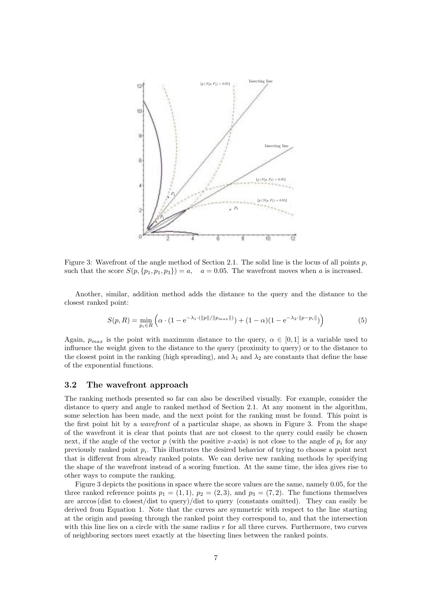

Figure 3: Wavefront of the angle method of Section 2.1. The solid line is the locus of all points  $p$ , such that the score  $S(p, \{p_1, p_1, p_3\}) = a$ ,  $a = 0.05$ . The wavefront moves when a is increased.

Another, similar, addition method adds the distance to the query and the distance to the closest ranked point:

$$
S(p,R) = \min_{p_i \in R} \left( \alpha \cdot (1 - e^{-\lambda_1 \cdot (\|p\| / \|p_{max}\|)}) + (1 - \alpha)(1 - e^{-\lambda_2 \cdot \|p - p_i\|}) \right) \tag{5}
$$

Again,  $p_{max}$  is the point with maximum distance to the query,  $\alpha \in [0,1]$  is a variable used to influence the weight given to the distance to the query (proximity to query) or to the distance to the closest point in the ranking (high spreading), and  $\lambda_1$  and  $\lambda_2$  are constants that define the base of the exponential functions.

#### **3.2 The wavefront approach**

The ranking methods presented so far can also be described visually. For example, consider the distance to query and angle to ranked method of Section 2.1. At any moment in the algorithm, some selection has been made, and the next point for the ranking must be found. This point is the first point hit by a *wavefront* of a particular shape, as shown in Figure 3. From the shape of the wavefront it is clear that points that are not closest to the query could easily be chosen next, if the angle of the vector p (with the positive x-axis) is not close to the angle of  $p_i$  for any previously ranked point  $p_i$ . This illustrates the desired behavior of trying to choose a point next that is different from already ranked points. We can derive new ranking methods by specifying the shape of the wavefront instead of a scoring function. At the same time, the idea gives rise to other ways to compute the ranking.

Figure 3 depicts the positions in space where the score values are the same, namely 0.05, for the three ranked reference points  $p_1 = (1, 1), p_2 = (2, 3),$  and  $p_3 = (7, 2).$  The functions themselves are arccos (dist to closest/dist to query)/dist to query (constants omitted). They can easily be derived from Equation 1. Note that the curves are symmetric with respect to the line starting at the origin and passing through the ranked point they correspond to, and that the intersection with this line lies on a circle with the same radius  $r$  for all three curves. Furthermore, two curves of neighboring sectors meet exactly at the bisecting lines between the ranked points.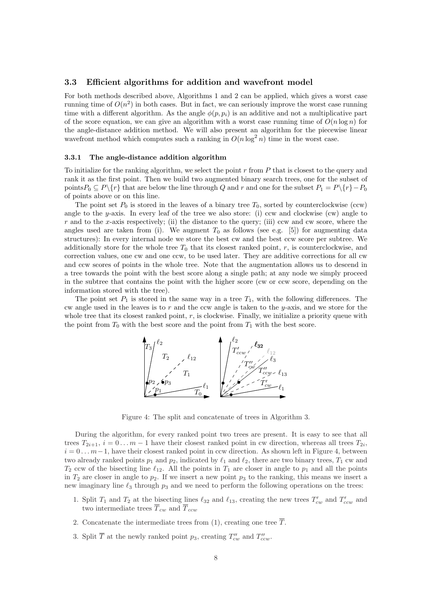#### **3.3 Efficient algorithms for addition and wavefront model**

For both methods described above, Algorithms 1 and 2 can be applied, which gives a worst case running time of  $O(n^2)$  in both cases. But in fact, we can seriously improve the worst case running time with a different algorithm. As the angle  $\phi(p, p_i)$  is an additive and not a multiplicative part of the score equation, we can give an algorithm with a worst case running time of  $O(n \log n)$  for the angle-distance addition method. We will also present an algorithm for the piecewise linear wavefront method which computes such a ranking in  $O(n \log^2 n)$  time in the worst case.

#### **3.3.1 The angle-distance addition algorithm**

To initialize for the ranking algorithm, we select the point r from P that is closest to the query and rank it as the first point. Then we build two augmented binary search trees, one for the subset of points  $P_0 \subseteq P\{r\}$  that are below the line through Q and r and one for the subset  $P_1 = P\{r\}-P_0$ of points above or on this line.

The point set  $P_0$  is stored in the leaves of a binary tree  $T_0$ , sorted by counterclockwise (ccw) angle to the y-axis. In every leaf of the tree we also store: (i) ccw and clockwise (cw) angle to  $r$  and to the x-axis respectively; (ii) the distance to the query; (iii) ccw and cw score, where the angles used are taken from (i). We augment  $T_0$  as follows (see e.g. [5]) for augmenting data structures): In every internal node we store the best cw and the best ccw score per subtree. We additionally store for the whole tree  $T_0$  that its closest ranked point, r, is counterclockwise, and correction values, one cw and one ccw, to be used later. They are additive corrections for all cw and ccw scores of points in the whole tree. Note that the augmentation allows us to descend in a tree towards the point with the best score along a single path; at any node we simply proceed in the subtree that contains the point with the higher score (cw or ccw score, depending on the information stored with the tree).

The point set  $P_1$  is stored in the same way in a tree  $T_1$ , with the following differences. The cw angle used in the leaves is to  $r$  and the ccw angle is taken to the  $y$ -axis, and we store for the whole tree that its closest ranked point,  $r$ , is clockwise. Finally, we initialize a priority queue with the point from  $T_0$  with the best score and the point from  $T_1$  with the best score.



Figure 4: The split and concatenate of trees in Algorithm 3.

During the algorithm, for every ranked point two trees are present. It is easy to see that all trees  $T_{2i+1}$ ,  $i = 0 \ldots m-1$  have their closest ranked point in cw direction, whereas all trees  $T_{2i}$ ,  $i = 0 \dots m-1$ , have their closest ranked point in ccw direction. As shown left in Figure 4, between two already ranked points  $p_1$  and  $p_2$ , indicated by  $\ell_1$  and  $\ell_2$ , there are two binary trees,  $T_1$  cw and  $T_2$  ccw of the bisecting line  $\ell_{12}$ . All the points in  $T_1$  are closer in angle to  $p_1$  and all the points in  $T_2$  are closer in angle to  $p_2$ . If we insert a new point  $p_3$  to the ranking, this means we insert a new imaginary line  $\ell_3$  through  $p_3$  and we need to perform the following operations on the trees:

- 1. Split  $T_1$  and  $T_2$  at the bisecting lines  $\ell_{32}$  and  $\ell_{13}$ , creating the new trees  $T'_{cw}$  and  $T'_{ccw}$  and two intermediate trees  $\overline{T}_{cw}$  and  $\overline{T}_{ccw}$
- 2. Concatenate the intermediate trees from (1), creating one tree  $\overline{T}$ .
- 3. Split  $\overline{T}$  at the newly ranked point  $p_3$ , creating  $T''_{cw}$  and  $T''_{ccw}$ .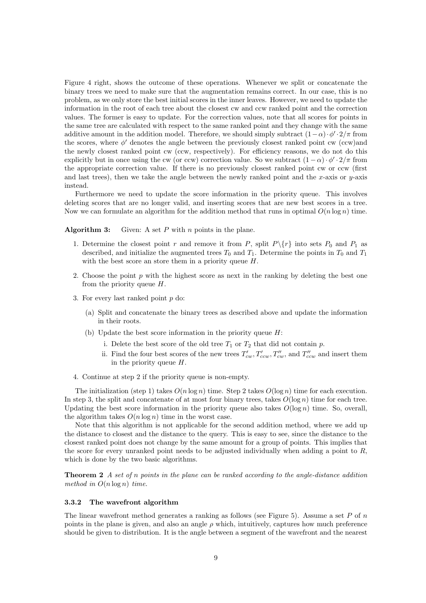Figure 4 right, shows the outcome of these operations. Whenever we split or concatenate the binary trees we need to make sure that the augmentation remains correct. In our case, this is no problem, as we only store the best initial scores in the inner leaves. However, we need to update the information in the root of each tree about the closest cw and ccw ranked point and the correction values. The former is easy to update. For the correction values, note that all scores for points in the same tree are calculated with respect to the same ranked point and they change with the same additive amount in the addition model. Therefore, we should simply subtract  $(1-\alpha) \cdot \phi' \cdot 2/\pi$  from the scores, where  $\phi'$  denotes the angle between the previously closest ranked point cw (ccw)and the newly closest ranked point cw (ccw, respectively). For efficiency reasons, we do not do this explicitly but in once using the cw (or ccw) correction value. So we subtract  $(1-\alpha) \cdot \phi' \cdot 2/\pi$  from the appropriate correction value. If there is no previously closest ranked point cw or ccw (first and last trees), then we take the angle between the newly ranked point and the x-axis or  $y$ -axis instead.

Furthermore we need to update the score information in the priority queue. This involves deleting scores that are no longer valid, and inserting scores that are new best scores in a tree. Now we can formulate an algorithm for the addition method that runs in optimal  $O(n \log n)$  time.

**Algorithm 3:** Given: A set P with n points in the plane.

- 1. Determine the closest point r and remove it from P, split  $P\{r\}$  into sets  $P_0$  and  $P_1$  as described, and initialize the augmented trees  $T_0$  and  $T_1$ . Determine the points in  $T_0$  and  $T_1$ with the best score an store them in a priority queue  $H$ .
- 2. Choose the point  $p$  with the highest score as next in the ranking by deleting the best one from the priority queue  $H$ .
- 3. For every last ranked point p do:
	- (a) Split and concatenate the binary trees as described above and update the information in their roots.
	- (b) Update the best score information in the priority queue  $H$ :
		- i. Delete the best score of the old tree  $T_1$  or  $T_2$  that did not contain p.
		- ii. Find the four best scores of the new trees  $T'_{cw}$ ,  $T'_{ccw}$ ,  $T''_{ccw}$ , and  $T''_{ccw}$  and insert them in the priority queue  $H$ .
- 4. Continue at step 2 if the priority queue is non-empty.

The initialization (step 1) takes  $O(n \log n)$  time. Step 2 takes  $O(\log n)$  time for each execution. In step 3, the split and concatenate of at most four binary trees, takes  $O(\log n)$  time for each tree. Updating the best score information in the priority queue also takes  $O(\log n)$  time. So, overall, the algorithm takes  $O(n \log n)$  time in the worst case.

Note that this algorithm is not applicable for the second addition method, where we add up the distance to closest and the distance to the query. This is easy to see, since the distance to the closest ranked point does not change by the same amount for a group of points. This implies that the score for every unranked point needs to be adjusted individually when adding a point to  $R$ , which is done by the two basic algorithms.

**Theorem 2** *A set of* n *points in the plane can be ranked according to the angle-distance addition method in* O(n log n) *time.*

#### **3.3.2 The wavefront algorithm**

The linear wavefront method generates a ranking as follows (see Figure 5). Assume a set  $P$  of  $n$ points in the plane is given, and also an angle  $\rho$  which, intuitively, captures how much preference should be given to distribution. It is the angle between a segment of the wavefront and the nearest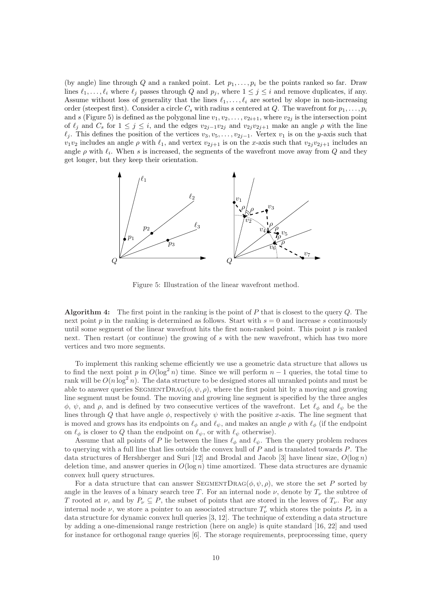(by angle) line through Q and a ranked point. Let  $p_1, \ldots, p_i$  be the points ranked so far. Draw lines  $\ell_1,\ldots,\ell_i$  where  $\ell_j$  passes through Q and  $p_j$ , where  $1 \leq j \leq i$  and remove duplicates, if any. Assume without loss of generality that the lines  $\ell_1,\ldots,\ell_i$  are sorted by slope in non-increasing order (steepest first). Consider a circle  $C_s$  with radius s centered at Q. The wavefront for  $p_1,\ldots,p_i$ and s (Figure 5) is defined as the polygonal line  $v_1, v_2, \ldots, v_{2i+1}$ , where  $v_{2j}$  is the intersection point of  $\ell_j$  and  $C_s$  for  $1 \leq j \leq i$ , and the edges  $v_{2j-1}v_{2j}$  and  $v_{2j}v_{2j+1}$  make an angle  $\rho$  with the line  $\ell_j$ . This defines the position of the vertices  $v_3, v_5,\ldots,v_{2j-1}$ . Vertex  $v_1$  is on the y-axis such that  $v_1v_2$  includes an angle  $\rho$  with  $\ell_1$ , and vertex  $v_{2j+1}$  is on the x-axis such that  $v_{2j}v_{2j+1}$  includes an angle  $\rho$  with  $\ell_i$ . When s is increased, the segments of the wavefront move away from Q and they get longer, but they keep their orientation.



Figure 5: Illustration of the linear wavefront method.

**Algorithm 4:** The first point in the ranking is the point of P that is closest to the query Q. The next point p in the ranking is determined as follows. Start with  $s = 0$  and increase s continuously until some segment of the linear wavefront hits the first non-ranked point. This point  $p$  is ranked next. Then restart (or continue) the growing of s with the new wavefront, which has two more vertices and two more segments.

To implement this ranking scheme efficiently we use a geometric data structure that allows us to find the next point p in  $O(\log^2 n)$  time. Since we will perform  $n-1$  queries, the total time to rank will be  $O(n \log^2 n)$ . The data structure to be designed stores all unranked points and must be able to answer queries  $SEGMENTDRAG(\phi, \psi, \rho)$ , where the first point hit by a moving and growing line segment must be found. The moving and growing line segment is specified by the three angles  $\phi$ ,  $\psi$ , and  $\rho$ , and is defined by two consecutive vertices of the wavefront. Let  $\ell_{\phi}$  and  $\ell_{\psi}$  be the lines through Q that have angle  $\phi$ , respectively  $\psi$  with the positive x-axis. The line segment that is moved and grows has its endpoints on  $\ell_{\phi}$  and  $\ell_{\psi}$ , and makes an angle  $\rho$  with  $\ell_{\phi}$  (if the endpoint on  $\ell_{\phi}$  is closer to Q than the endpoint on  $\ell_{\psi}$ , or with  $\ell_{\psi}$  otherwise).

Assume that all points of P lie between the lines  $\ell_{\phi}$  and  $\ell_{\psi}$ . Then the query problem reduces to querying with a full line that lies outside the convex hull of  $P$  and is translated towards  $P$ . The data structures of Hershberger and Suri [12] and Brodal and Jacob [3] have linear size,  $O(\log n)$ deletion time, and answer queries in  $O(\log n)$  time amortized. These data structures are dynamic convex hull query structures.

For a data structure that can answer SEGMENTDRAG( $(\phi, \psi, \rho)$ , we store the set P sorted by angle in the leaves of a binary search tree T. For an internal node  $\nu$ , denote by  $T_{\nu}$  the subtree of T rooted at  $\nu$ , and by  $P_{\nu} \subseteq P$ , the subset of points that are stored in the leaves of  $T_{\nu}$ . For any internal node  $\nu$ , we store a pointer to an associated structure  $T'_\nu$  which stores the points  $P_\nu$  in a data structure for dynamic convex hull queries [3, 12]. The technique of extending a data structure by adding a one-dimensional range restriction (here on angle) is quite standard [16, 22] and used for instance for orthogonal range queries [6]. The storage requirements, preprocessing time, query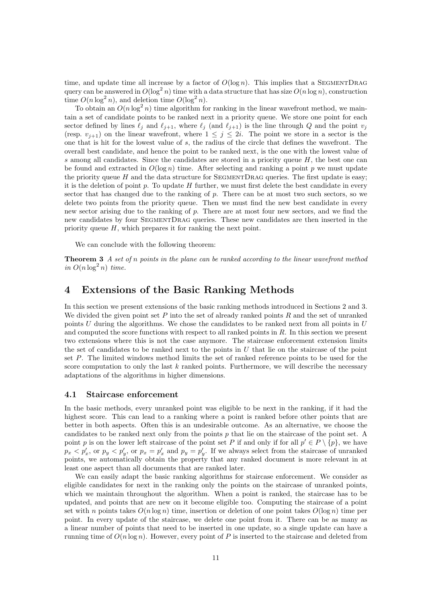time, and update time all increase by a factor of  $O(\log n)$ . This implies that a SEGMENTDRAG query can be answered in  $O(\log^2 n)$  time with a data structure that has size  $O(n \log n)$ , construction time  $O(n \log^2 n)$ , and deletion time  $O(\log^2 n)$ .

To obtain an  $O(n \log^2 n)$  time algorithm for ranking in the linear wavefront method, we maintain a set of candidate points to be ranked next in a priority queue. We store one point for each sector defined by lines  $\ell_i$  and  $\ell_{i+1}$ , where  $\ell_i$  (and  $\ell_{i+1}$ ) is the line through Q and the point  $v_i$ (resp.  $v_{i+1}$ ) on the linear wavefront, where  $1 \leq j \leq 2i$ . The point we store in a sector is the one that is hit for the lowest value of s, the radius of the circle that defines the wavefront. The overall best candidate, and hence the point to be ranked next, is the one with the lowest value of s among all candidates. Since the candidates are stored in a priority queue  $H$ , the best one can be found and extracted in  $O(\log n)$  time. After selecting and ranking a point p we must update the priority queue  $H$  and the data structure for SEGMENTDRAG queries. The first update is easy; it is the deletion of point  $p$ . To update  $H$  further, we must first delete the best candidate in every sector that has changed due to the ranking of p. There can be at most two such sectors, so we delete two points from the priority queue. Then we must find the new best candidate in every new sector arising due to the ranking of p. There are at most four new sectors, and we find the new candidates by four SegmentDrag queries. These new candidates are then inserted in the priority queue  $H$ , which prepares it for ranking the next point.

We can conclude with the following theorem:

**Theorem 3** *A set of* n *points in the plane can be ranked according to the linear wavefront method*  $in O(n \log^2 n)$  *time.* 

## **4 Extensions of the Basic Ranking Methods**

In this section we present extensions of the basic ranking methods introduced in Sections 2 and 3. We divided the given point set  $P$  into the set of already ranked points  $R$  and the set of unranked points  $U$  during the algorithms. We chose the candidates to be ranked next from all points in  $U$ and computed the score functions with respect to all ranked points in  $R$ . In this section we present two extensions where this is not the case anymore. The staircase enforcement extension limits the set of candidates to be ranked next to the points in  $U$  that lie on the staircase of the point set P. The limited windows method limits the set of ranked reference points to be used for the score computation to only the last  $k$  ranked points. Furthermore, we will describe the necessary adaptations of the algorithms in higher dimensions.

#### **4.1 Staircase enforcement**

In the basic methods, every unranked point was eligible to be next in the ranking, if it had the highest score. This can lead to a ranking where a point is ranked before other points that are better in both aspects. Often this is an undesirable outcome. As an alternative, we choose the candidates to be ranked next only from the points  $p$  that lie on the staircase of the point set. A point p is on the lower left staircase of the point set P if and only if for all  $p' \in P \setminus \{p\}$ , we have  $p_x < p'_x$ , or  $p_y < p'_y$ , or  $p_x = p'_x$  and  $p_y = p'_y$ . If we always select from the staircase of unranked points, we automatically obtain the property that any ranked document is more relevant in at least one aspect than all documents that are ranked later.

We can easily adapt the basic ranking algorithms for staircase enforcement. We consider as eligible candidates for next in the ranking only the points on the staircase of unranked points, which we maintain throughout the algorithm. When a point is ranked, the staircase has to be updated, and points that are new on it become eligible too. Computing the staircase of a point set with n points takes  $O(n \log n)$  time, insertion or deletion of one point takes  $O(\log n)$  time per point. In every update of the staircase, we delete one point from it. There can be as many as a linear number of points that need to be inserted in one update, so a single update can have a running time of  $O(n \log n)$ . However, every point of P is inserted to the staircase and deleted from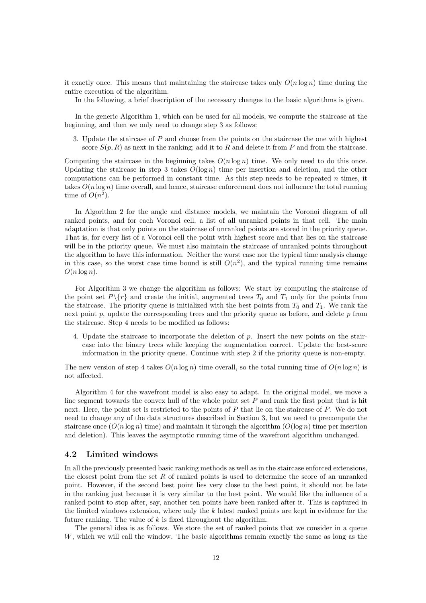it exactly once. This means that maintaining the staircase takes only  $O(n \log n)$  time during the entire execution of the algorithm.

In the following, a brief description of the necessary changes to the basic algorithms is given.

In the generic Algorithm 1, which can be used for all models, we compute the staircase at the beginning, and then we only need to change step 3 as follows:

3. Update the staircase of P and choose from the points on the staircase the one with highest score  $S(p, R)$  as next in the ranking; add it to R and delete it from P and from the staircase.

Computing the staircase in the beginning takes  $O(n \log n)$  time. We only need to do this once. Updating the staircase in step 3 takes  $O(\log n)$  time per insertion and deletion, and the other computations can be performed in constant time. As this step needs to be repeated  $n$  times, it takes  $O(n \log n)$  time overall, and hence, staircase enforcement does not influence the total running time of  $O(n^2)$ .

In Algorithm 2 for the angle and distance models, we maintain the Voronoi diagram of all ranked points, and for each Voronoi cell, a list of all unranked points in that cell. The main adaptation is that only points on the staircase of unranked points are stored in the priority queue. That is, for every list of a Voronoi cell the point with highest score and that lies on the staircase will be in the priority queue. We must also maintain the staircase of unranked points throughout the algorithm to have this information. Neither the worst case nor the typical time analysis change in this case, so the worst case time bound is still  $O(n^2)$ , and the typical running time remains  $O(n \log n)$ .

For Algorithm 3 we change the algorithm as follows: We start by computing the staircase of the point set  $P\{r\}$  and create the initial, augmented trees  $T_0$  and  $T_1$  only for the points from the staircase. The priority queue is initialized with the best points from  $T_0$  and  $T_1$ . We rank the next point  $p$ , update the corresponding trees and the priority queue as before, and delete  $p$  from the staircase. Step 4 needs to be modified as follows:

4. Update the staircase to incorporate the deletion of p. Insert the new points on the staircase into the binary trees while keeping the augmentation correct. Update the best-score information in the priority queue. Continue with step 2 if the priority queue is non-empty.

The new version of step 4 takes  $O(n \log n)$  time overall, so the total running time of  $O(n \log n)$  is not affected.

Algorithm 4 for the wavefront model is also easy to adapt. In the original model, we move a line segment towards the convex hull of the whole point set  $P$  and rank the first point that is hit next. Here, the point set is restricted to the points of P that lie on the staircase of P. We do not need to change any of the data structures described in Section 3, but we need to precompute the staircase once  $(O(n \log n)$  time) and maintain it through the algorithm  $(O(\log n)$  time per insertion and deletion). This leaves the asymptotic running time of the wavefront algorithm unchanged.

#### **4.2 Limited windows**

In all the previously presented basic ranking methods as well as in the staircase enforced extensions, the closest point from the set R of ranked points is used to determine the score of an unranked point. However, if the second best point lies very close to the best point, it should not be late in the ranking just because it is very similar to the best point. We would like the influence of a ranked point to stop after, say, another ten points have been ranked after it. This is captured in the limited windows extension, where only the  $k$  latest ranked points are kept in evidence for the future ranking. The value of  $k$  is fixed throughout the algorithm.

The general idea is as follows. We store the set of ranked points that we consider in a queue W, which we will call the window. The basic algorithms remain exactly the same as long as the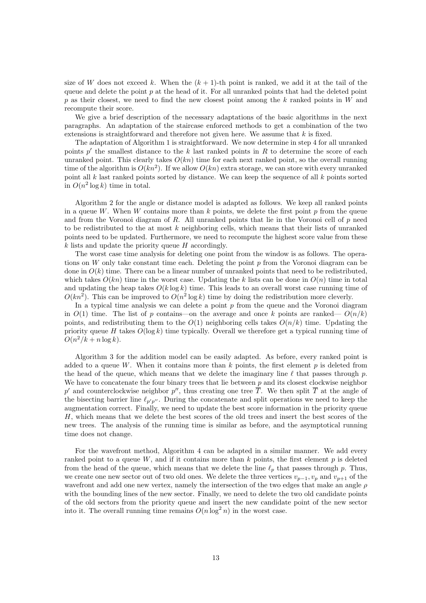size of W does not exceed k. When the  $(k+1)$ -th point is ranked, we add it at the tail of the queue and delete the point  $p$  at the head of it. For all unranked points that had the deleted point p as their closest, we need to find the new closest point among the k ranked points in W and recompute their score.

We give a brief description of the necessary adaptations of the basic algorithms in the next paragraphs. An adaptation of the staircase enforced methods to get a combination of the two extensions is straightforward and therefore not given here. We assume that  $k$  is fixed.

The adaptation of Algorithm 1 is straightforward. We now determine in step 4 for all unranked points  $p'$  the smallest distance to the k last ranked points in R to determine the score of each unranked point. This clearly takes  $O(kn)$  time for each next ranked point, so the overall running time of the algorithm is  $O(kn^2)$ . If we allow  $O(kn)$  extra storage, we can store with every unranked point all  $k$  last ranked points sorted by distance. We can keep the sequence of all  $k$  points sorted in  $O(n^2 \log k)$  time in total.

Algorithm 2 for the angle or distance model is adapted as follows. We keep all ranked points in a queue W. When W contains more than k points, we delete the first point  $p$  from the queue and from the Voronoi diagram of  $R$ . All unranked points that lie in the Voronoi cell of  $p$  need to be redistributed to the at most  $k$  neighboring cells, which means that their lists of unranked points need to be updated. Furthermore, we need to recompute the highest score value from these  $k$  lists and update the priority queue  $H$  accordingly.

The worst case time analysis for deleting one point from the window is as follows. The operations on W only take constant time each. Deleting the point  $p$  from the Voronoi diagram can be done in  $O(k)$  time. There can be a linear number of unranked points that need to be redistributed. which takes  $O(kn)$  time in the worst case. Updating the k lists can be done in  $O(n)$  time in total and updating the heap takes  $O(k \log k)$  time. This leads to an overall worst case running time of  $O(kn^2)$ . This can be improved to  $O(n^2 \log k)$  time by doing the redistribution more cleverly.

In a typical time analysis we can delete a point  $p$  from the queue and the Voronoi diagram in  $O(1)$  time. The list of p contains—on the average and once k points are ranked—  $O(n/k)$ points, and redistributing them to the  $O(1)$  neighboring cells takes  $O(n/k)$  time. Updating the priority queue H takes  $O(\log k)$  time typically. Overall we therefore get a typical running time of  $O(n^2/k + n \log k)$ .

Algorithm 3 for the addition model can be easily adapted. As before, every ranked point is added to a queue W. When it contains more than  $k$  points, the first element p is deleted from the head of the queue, which means that we delete the imaginary line  $\ell$  that passes through p. We have to concatenate the four binary trees that lie between  $p$  and its closest clockwise neighbor p' and counterclockwise neighbor p'', thus creating one tree  $\overline{T}$ . We then split  $\overline{T}$  at the angle of the bisecting barrier line  $\ell_{p'p''}$ . During the concatenate and split operations we need to keep the augmentation correct. Finally, we need to update the best score information in the priority queue H, which means that we delete the best scores of the old trees and insert the best scores of the new trees. The analysis of the running time is similar as before, and the asymptotical running time does not change.

For the wavefront method, Algorithm 4 can be adapted in a similar manner. We add every ranked point to a queue  $W$ , and if it contains more than  $k$  points, the first element  $p$  is deleted from the head of the queue, which means that we delete the line  $\ell_p$  that passes through p. Thus, we create one new sector out of two old ones. We delete the three vertices  $v_{p-1}, v_p$  and  $v_{p+1}$  of the wavefront and add one new vertex, namely the intersection of the two edges that make an angle  $\rho$ with the bounding lines of the new sector. Finally, we need to delete the two old candidate points of the old sectors from the priority queue and insert the new candidate point of the new sector into it. The overall running time remains  $O(n \log^2 n)$  in the worst case.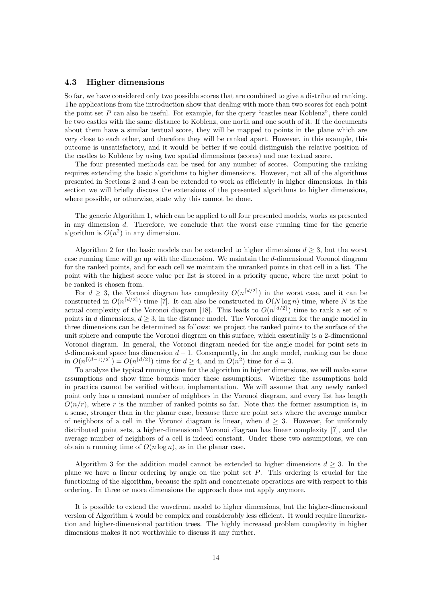#### **4.3 Higher dimensions**

So far, we have considered only two possible scores that are combined to give a distributed ranking. The applications from the introduction show that dealing with more than two scores for each point the point set  $P$  can also be useful. For example, for the query "castles near Koblenz", there could be two castles with the same distance to Koblenz, one north and one south of it. If the documents about them have a similar textual score, they will be mapped to points in the plane which are very close to each other, and therefore they will be ranked apart. However, in this example, this outcome is unsatisfactory, and it would be better if we could distinguish the relative position of the castles to Koblenz by using two spatial dimensions (scores) and one textual score.

The four presented methods can be used for any number of scores. Computing the ranking requires extending the basic algorithms to higher dimensions. However, not all of the algorithms presented in Sections 2 and 3 can be extended to work as efficiently in higher dimensions. In this section we will briefly discuss the extensions of the presented algorithms to higher dimensions, where possible, or otherwise, state why this cannot be done.

The generic Algorithm 1, which can be applied to all four presented models, works as presented in any dimension d. Therefore, we conclude that the worst case running time for the generic algorithm is  $O(n^2)$  in any dimension.

Algorithm 2 for the basic models can be extended to higher dimensions  $d \geq 3$ , but the worst case running time will go up with the dimension. We maintain the d-dimensional Voronoi diagram for the ranked points, and for each cell we maintain the unranked points in that cell in a list. The point with the highest score value per list is stored in a priority queue, where the next point to be ranked is chosen from.

For  $d \geq 3$ , the Voronoi diagram has complexity  $O(n^{\lceil d/2 \rceil})$  in the worst case, and it can be constructed in  $O(n^{\lceil d/2 \rceil})$  time [7]. It can also be constructed in  $O(N \log n)$  time, where N is the actual complexity of the Voronoi diagram [18]. This leads to  $O(n^{\lceil d/2 \rceil})$  time to rank a set of n points in d dimensions,  $d \geq 3$ , in the distance model. The Voronoi diagram for the angle model in three dimensions can be determined as follows: we project the ranked points to the surface of the unit sphere and compute the Voronoi diagram on this surface, which essentially is a 2-dimensional Voronoi diagram. In general, the Voronoi diagram needed for the angle model for point sets in d-dimensional space has dimension  $d - 1$ . Consequently, in the angle model, ranking can be done in  $O(n^{\lceil (d-1)/2 \rceil}) = O(n^{\lfloor d/2 \rfloor})$  time for  $d > 4$ , and in  $O(n^2)$  time for  $d = 3$ .

To analyze the typical running time for the algorithm in higher dimensions, we will make some assumptions and show time bounds under these assumptions. Whether the assumptions hold in practice cannot be verified without implementation. We will assume that any newly ranked point only has a constant number of neighbors in the Voronoi diagram, and every list has length  $O(n/r)$ , where r is the number of ranked points so far. Note that the former assumption is, in a sense, stronger than in the planar case, because there are point sets where the average number of neighbors of a cell in the Voronoi diagram is linear, when  $d \geq 3$ . However, for uniformly distributed point sets, a higher-dimensional Voronoi diagram has linear complexity [7], and the average number of neighbors of a cell is indeed constant. Under these two assumptions, we can obtain a running time of  $O(n \log n)$ , as in the planar case.

Algorithm 3 for the addition model cannot be extended to higher dimensions  $d \geq 3$ . In the plane we have a linear ordering by angle on the point set P. This ordering is crucial for the functioning of the algorithm, because the split and concatenate operations are with respect to this ordering. In three or more dimensions the approach does not apply anymore.

It is possible to extend the wavefront model to higher dimensions, but the higher-dimensional version of Algorithm 4 would be complex and considerably less efficient. It would require linearization and higher-dimensional partition trees. The highly increased problem complexity in higher dimensions makes it not worthwhile to discuss it any further.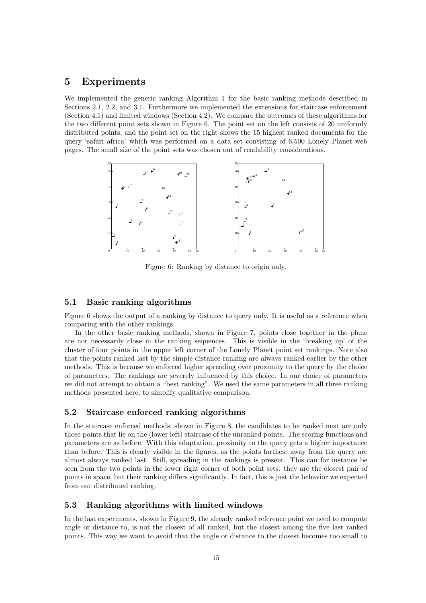## **5 Experiments**

We implemented the generic ranking Algorithm 1 for the basic ranking methods described in Sections 2.1, 2.2, and 3.1. Furthermore we implemented the extensions for staircase enforcement (Section 4.1) and limited windows (Section 4.2). We compare the outcomes of these algorithms for the two different point sets shown in Figure 6. The point set on the left consists of 20 uniformly distributed points, and the point set on the right shows the 15 highest ranked documents for the query 'safari africa' which was performed on a data set consisting of 6,500 Lonely Planet web pages. The small size of the point sets was chosen out of readability considerations.



Figure 6: Ranking by distance to origin only.

#### **5.1 Basic ranking algorithms**

Figure 6 shows the output of a ranking by distance to query only. It is useful as a reference when comparing with the other rankings.

In the other basic ranking methods, shown in Figure 7, points close together in the plane are not necessarily close in the ranking sequences. This is visible in the 'breaking up' of the cluster of four points in the upper left corner of the Lonely Planet point set rankings. Note also that the points ranked last by the simple distance ranking are always ranked earlier by the other methods. This is because we enforced higher spreading over proximity to the query by the choice of parameters. The rankings are severely influenced by this choice. In our choice of parameters we did not attempt to obtain a "best ranking". We used the same parameters in all three ranking methods presented here, to simplify qualitative comparison.

### **5.2 Staircase enforced ranking algorithms**

In the staircase enforced methods, shown in Figure 8, the candidates to be ranked next are only those points that lie on the (lower left) staircase of the unranked points. The scoring functions and parameters are as before. With this adaptation, proximity to the query gets a higher importance than before. This is clearly visible in the figures, as the points farthest away from the query are almost always ranked last. Still, spreading in the rankings is present. This can for instance be seen from the two points in the lower right corner of both point sets: they are the closest pair of points in space, but their ranking differs significantly. In fact, this is just the behavior we expected from our distributed ranking.

#### **5.3 Ranking algorithms with limited windows**

In the last experiments, shown in Figure 9, the already ranked reference point we need to compute angle or distance to, is not the closest of all ranked, but the closest among the five last ranked points. This way we want to avoid that the angle or distance to the closest becomes too small to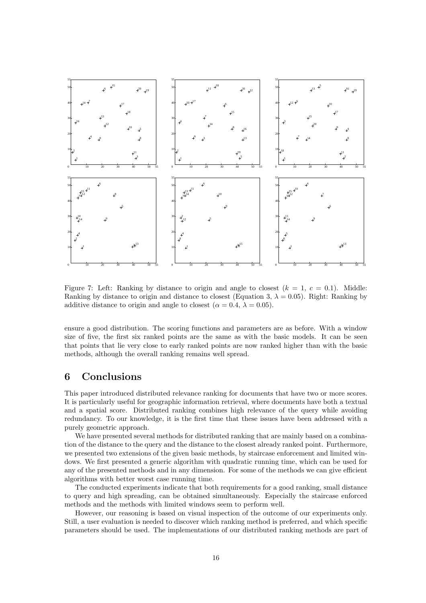

Figure 7: Left: Ranking by distance to origin and angle to closest  $(k = 1, c = 0.1)$ . Middle: Ranking by distance to origin and distance to closest (Equation 3,  $\lambda = 0.05$ ). Right: Ranking by additive distance to origin and angle to closest ( $\alpha = 0.4$ ,  $\lambda = 0.05$ ).

ensure a good distribution. The scoring functions and parameters are as before. With a window size of five, the first six ranked points are the same as with the basic models. It can be seen that points that lie very close to early ranked points are now ranked higher than with the basic methods, although the overall ranking remains well spread.

## **6 Conclusions**

This paper introduced distributed relevance ranking for documents that have two or more scores. It is particularly useful for geographic information retrieval, where documents have both a textual and a spatial score. Distributed ranking combines high relevance of the query while avoiding redundancy. To our knowledge, it is the first time that these issues have been addressed with a purely geometric approach.

We have presented several methods for distributed ranking that are mainly based on a combination of the distance to the query and the distance to the closest already ranked point. Furthermore, we presented two extensions of the given basic methods, by staircase enforcement and limited windows. We first presented a generic algorithm with quadratic running time, which can be used for any of the presented methods and in any dimension. For some of the methods we can give efficient algorithms with better worst case running time.

The conducted experiments indicate that both requirements for a good ranking, small distance to query and high spreading, can be obtained simultaneously. Especially the staircase enforced methods and the methods with limited windows seem to perform well.

However, our reasoning is based on visual inspection of the outcome of our experiments only. Still, a user evaluation is needed to discover which ranking method is preferred, and which specific parameters should be used. The implementations of our distributed ranking methods are part of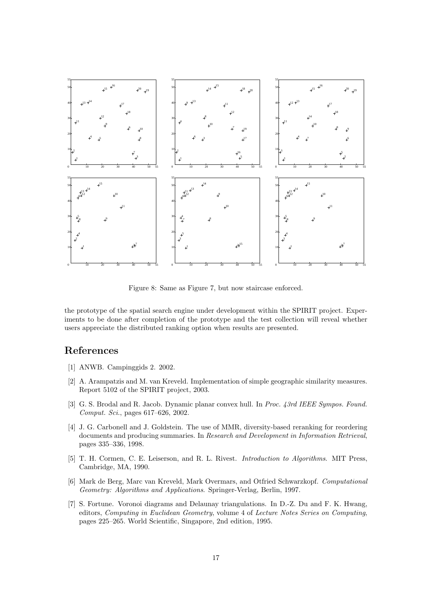

Figure 8: Same as Figure 7, but now staircase enforced.

the prototype of the spatial search engine under development within the SPIRIT project. Experiments to be done after completion of the prototype and the test collection will reveal whether users appreciate the distributed ranking option when results are presented.

## **References**

- [1] ANWB. Campinggids 2. 2002.
- [2] A. Arampatzis and M. van Kreveld. Implementation of simple geographic similarity measures. Report 5102 of the SPIRIT project, 2003.
- [3] G. S. Brodal and R. Jacob. Dynamic planar convex hull. In *Proc. 43rd IEEE Sympos. Found. Comput. Sci.*, pages 617–626, 2002.
- [4] J. G. Carbonell and J. Goldstein. The use of MMR, diversity-based reranking for reordering documents and producing summaries. In *Research and Development in Information Retrieval*, pages 335–336, 1998.
- [5] T. H. Cormen, C. E. Leiserson, and R. L. Rivest. *Introduction to Algorithms*. MIT Press, Cambridge, MA, 1990.
- [6] Mark de Berg, Marc van Kreveld, Mark Overmars, and Otfried Schwarzkopf. *Computational Geometry: Algorithms and Applications*. Springer-Verlag, Berlin, 1997.
- [7] S. Fortune. Voronoi diagrams and Delaunay triangulations. In D.-Z. Du and F. K. Hwang, editors, *Computing in Euclidean Geometry*, volume 4 of *Lecture Notes Series on Computing*, pages 225–265. World Scientific, Singapore, 2nd edition, 1995.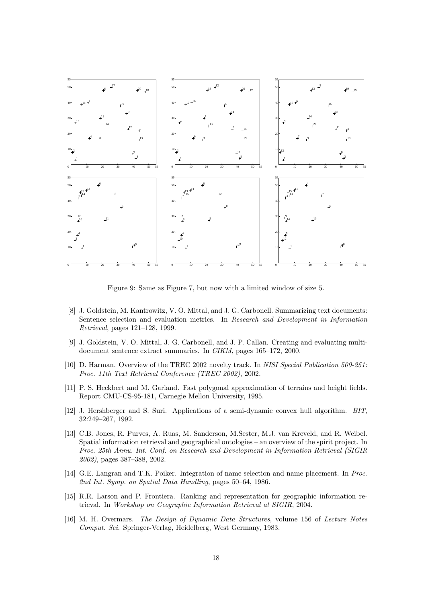

Figure 9: Same as Figure 7, but now with a limited window of size 5.

- [8] J. Goldstein, M. Kantrowitz, V. O. Mittal, and J. G. Carbonell. Summarizing text documents: Sentence selection and evaluation metrics. In *Research and Development in Information Retrieval*, pages 121–128, 1999.
- [9] J. Goldstein, V. O. Mittal, J. G. Carbonell, and J. P. Callan. Creating and evaluating multidocument sentence extract summaries. In *CIKM*, pages 165–172, 2000.
- [10] D. Harman. Overview of the TREC 2002 novelty track. In *NISI Special Publication 500-251: Proc. 11th Text Retrieval Conference (TREC 2002)*, 2002.
- [11] P. S. Heckbert and M. Garland. Fast polygonal approximation of terrains and height fields. Report CMU-CS-95-181, Carnegie Mellon University, 1995.
- [12] J. Hershberger and S. Suri. Applications of a semi-dynamic convex hull algorithm. *BIT*, 32:249–267, 1992.
- [13] C.B. Jones, R. Purves, A. Ruas, M. Sanderson, M.Sester, M.J. van Kreveld, and R. Weibel. Spatial information retrieval and geographical ontologies – an overview of the spirit project. In *Proc. 25th Annu. Int. Conf. on Research and Development in Information Retrieval (SIGIR 2002)*, pages 387–388, 2002.
- [14] G.E. Langran and T.K. Poiker. Integration of name selection and name placement. In *Proc. 2nd Int. Symp. on Spatial Data Handling*, pages 50–64, 1986.
- [15] R.R. Larson and P. Frontiera. Ranking and representation for geographic information retrieval. In *Workshop on Geographic Information Retrieval at SIGIR*, 2004.
- [16] M. H. Overmars. *The Design of Dynamic Data Structures*, volume 156 of *Lecture Notes Comput. Sci.* Springer-Verlag, Heidelberg, West Germany, 1983.